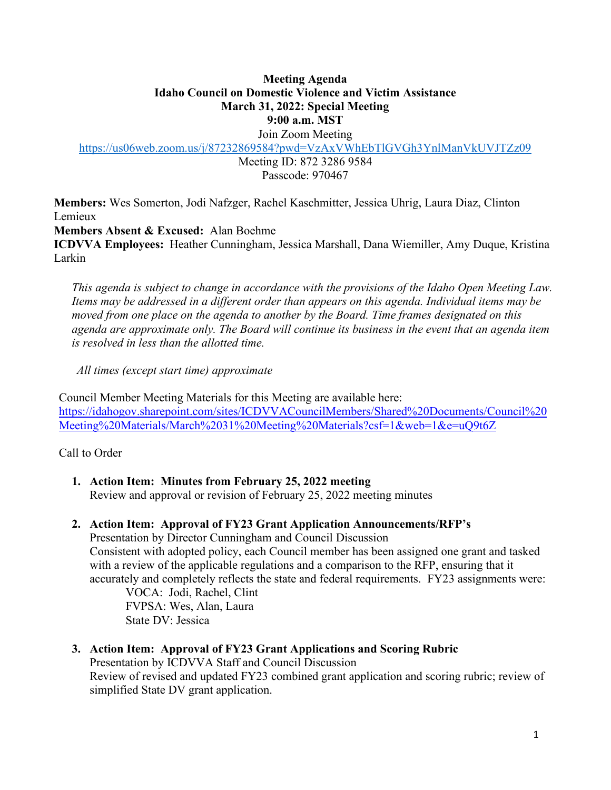#### **Meeting Agenda Idaho Council on Domestic Violence and Victim Assistance March 31, 2022: Special Meeting 9:00 a.m. MST**

Join Zoom Meeting

<https://us06web.zoom.us/j/87232869584?pwd=VzAxVWhEbTlGVGh3YnlManVkUVJTZz09>

Meeting ID: 872 3286 9584 Passcode: 970467

**Members:** Wes Somerton, Jodi Nafzger, Rachel Kaschmitter, Jessica Uhrig, Laura Diaz, Clinton Lemieux

**Members Absent & Excused:** Alan Boehme

**ICDVVA Employees:** Heather Cunningham, Jessica Marshall, Dana Wiemiller, Amy Duque, Kristina Larkin

 *This agenda is subject to change in accordance with the provisions of the Idaho Open Meeting Law. Items may be addressed in a different order than appears on this agenda. Individual items may be moved from one place on the agenda to another by the Board. Time frames designated on this agenda are approximate only. The Board will continue its business in the event that an agenda item is resolved in less than the allotted time.* 

*All times (except start time) approximate* 

Council Member Meeting Materials for this Meeting are available here: https://idahogov.sharepoint.com/sites/ICDVVACouncilMembers/Shared%20Documents/Council%20 Meeting%20Materials/March%2031%20Meeting%20Materials?csf=1&web=1&e=uQ9t6Z

Call to Order

## **1. Action Item: Minutes from February 25, 2022 meeting**

Review and approval or revision of February 25, 2022 meeting minutes

### **2. Action Item: Approval of FY23 Grant Application Announcements/RFP's**

Presentation by Director Cunningham and Council Discussion Consistent with adopted policy, each Council member has been assigned one grant and tasked with a review of the applicable regulations and a comparison to the RFP, ensuring that it accurately and completely reflects the state and federal requirements. FY23 assignments were:

VOCA: Jodi, Rachel, Clint FVPSA: Wes, Alan, Laura State DV: Jessica

**3. Action Item: Approval of FY23 Grant Applications and Scoring Rubric** 

Presentation by ICDVVA Staff and Council Discussion

Review of revised and updated FY23 combined grant application and scoring rubric; review of simplified State DV grant application.